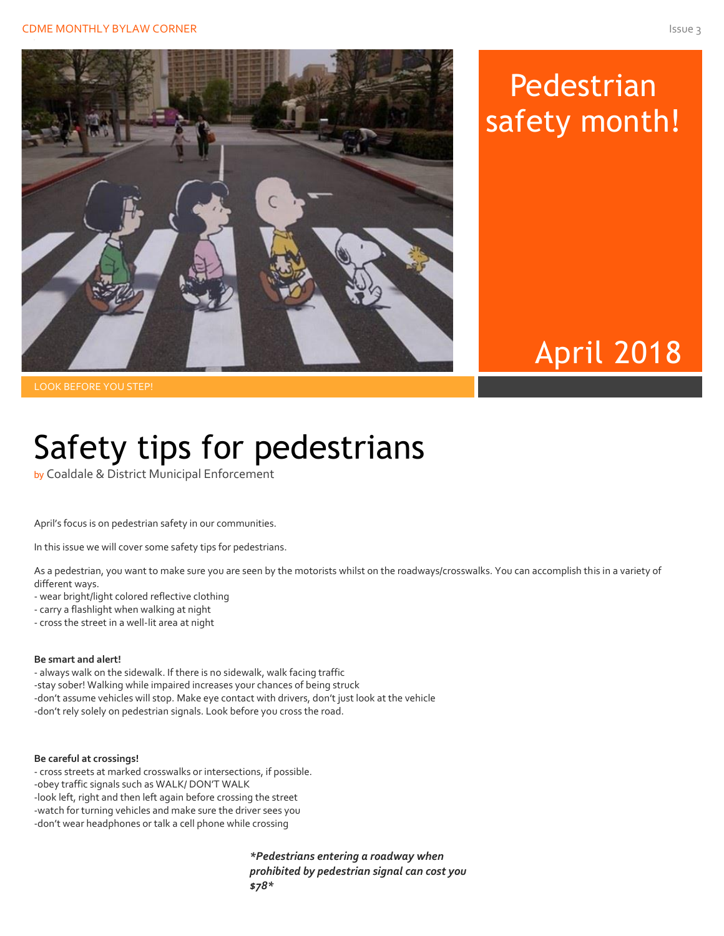

## Pedestrian safety month!

### April 2018

# Safety tips for pedestrians

by Coaldale & District Municipal Enforcement

April's focus is on pedestrian safety in our communities.

In this issue we will cover some safety tips for pedestrians.

As a pedestrian, you want to make sure you are seen by the motorists whilst on the roadways/crosswalks. You can accomplish this in a variety of different ways.

- wear bright/light colored reflective clothing

- carry a flashlight when walking at night

- cross the street in a well-lit area at night

#### **Be smart and alert!**

- always walk on the sidewalk. If there is no sidewalk, walk facing traffic -stay sober! Walking while impaired increases your chances of being struck -don't assume vehicles will stop. Make eye contact with drivers, don't just look at the vehicle -don't rely solely on pedestrian signals. Look before you cross the road.

#### **Be careful at crossings!**

- cross streets at marked crosswalks or intersections, if possible.
- -obey traffic signals such as WALK/ DON'T WALK
- -look left, right and then left again before crossing the street
- -watch for turning vehicles and make sure the driver sees you
- -don't wear headphones or talk a cell phone while crossing

*\*Pedestrians entering a roadway when prohibited by pedestrian signal can cost you \$78\**